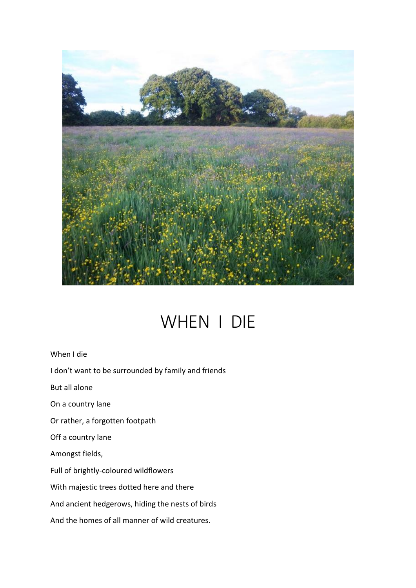

## WHEN I DIE

When I die

I don't want to be surrounded by family and friends

But all alone

On a country lane

Or rather, a forgotten footpath

Off a country lane

Amongst fields,

Full of brightly-coloured wildflowers

With majestic trees dotted here and there

And ancient hedgerows, hiding the nests of birds

And the homes of all manner of wild creatures.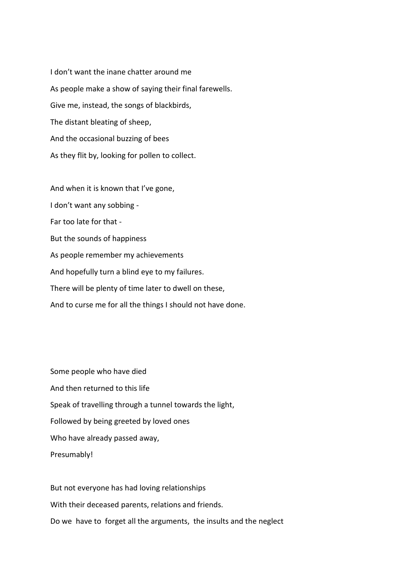I don't want the inane chatter around me As people make a show of saying their final farewells. Give me, instead, the songs of blackbirds, The distant bleating of sheep, And the occasional buzzing of bees As they flit by, looking for pollen to collect.

And when it is known that I've gone, I don't want any sobbing - Far too late for that - But the sounds of happiness As people remember my achievements And hopefully turn a blind eye to my failures. There will be plenty of time later to dwell on these, And to curse me for all the things I should not have done.

Some people who have died And then returned to this life Speak of travelling through a tunnel towards the light, Followed by being greeted by loved ones Who have already passed away, Presumably!

But not everyone has had loving relationships With their deceased parents, relations and friends. Do we have to forget all the arguments, the insults and the neglect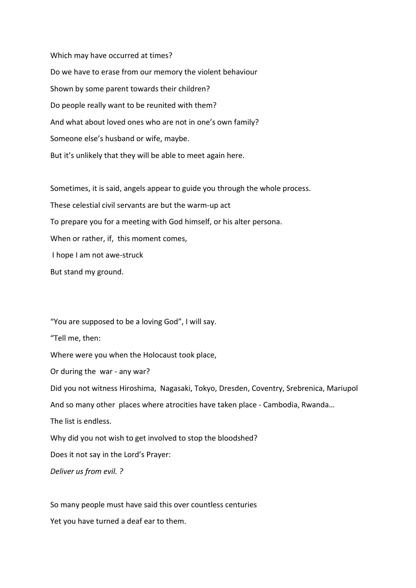Which may have occurred at times? Do we have to erase from our memory the violent behaviour Shown by some parent towards their children? Do people really want to be reunited with them? And what about loved ones who are not in one's own family? Someone else's husband or wife, maybe. But it's unlikely that they will be able to meet again here.

Sometimes, it is said, angels appear to guide you through the whole process. These celestial civil servants are but the warm-up act To prepare you for a meeting with God himself, or his alter persona. When or rather, if, this moment comes, I hope I am not awe-struck But stand my ground.

"You are supposed to be a loving God", I will say.

"Tell me, then:

Where were you when the Holocaust took place,

Or during the war - any war?

Did you not witness Hiroshima, Nagasaki, Tokyo, Dresden, Coventry, Srebrenica, Mariupol And so many other places where atrocities have taken place - Cambodia, Rwanda… The list is endless. Why did you not wish to get involved to stop the bloodshed? Does it not say in the Lord's Prayer: *Deliver us from evil. ?*

So many people must have said this over countless centuries Yet you have turned a deaf ear to them.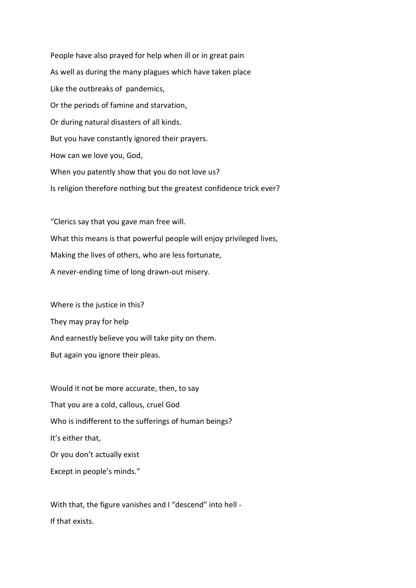People have also prayed for help when ill or in great pain As well as during the many plagues which have taken place Like the outbreaks of pandemics, Or the periods of famine and starvation, Or during natural disasters of all kinds. But you have constantly ignored their prayers. How can we love you, God, When you patently show that you do not love us? Is religion therefore nothing but the greatest confidence trick ever?

"Clerics say that you gave man free will. What this means is that powerful people will enjoy privileged lives, Making the lives of others, who are less fortunate, A never-ending time of long drawn-out misery.

Where is the justice in this? They may pray for help And earnestly believe you will take pity on them. But again you ignore their pleas.

Would it not be more accurate, then, to say That you are a cold, callous, cruel God Who is indifferent to the sufferings of human beings? It's either that, Or you don't actually exist Except in people's minds."

With that, the figure vanishes and I "descend" into hell -If that exists.